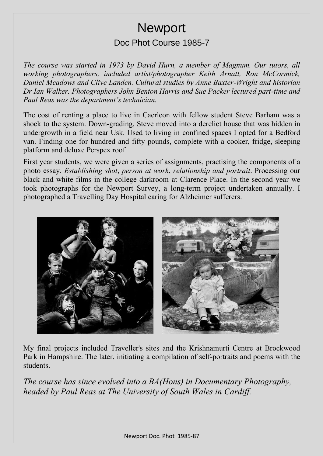## **Newport** Doc Phot Course 1985-7

*The course was started in 1973 by David Hurn, a member of Magnum. Our tutors, all working photographers, included artist/photographer Keith Arnatt, Ron McCormick, Daniel Meadows and Clive Landen. Cultural studies by Anne Baxter-Wright and historian Dr Ian Walker. Photographers John Benton Harris and Sue Packer lectured part-time and Paul Reas was the department's technician.*

The cost of renting a place to live in Caerleon with fellow student Steve Barham was a shock to the system. Down-grading, Steve moved into a derelict house that was hidden in undergrowth in a field near Usk. Used to living in confined spaces I opted for a Bedford van. Finding one for hundred and fifty pounds, complete with a cooker, fridge, sleeping platform and deluxe Perspex roof.

First year students, we were given a series of assignments, practising the components of a photo essay. *Establishing shot*, *person at work*, *relationship and portrait*. Processing our black and white films in the college darkroom at Clarence Place. In the second year we took photographs for the Newport Survey, a long-term project undertaken annually. I photographed a Travelling Day Hospital caring for Alzheimer sufferers.



My final projects included Traveller's sites and the Krishnamurti Centre at Brockwood Park in Hampshire. The later, initiating a compilation of self-portraits and poems with the students.

*The course has since evolved into a BA(Hons) in Documentary Photography, headed by Paul Reas at The University of South Wales in Cardiff.*